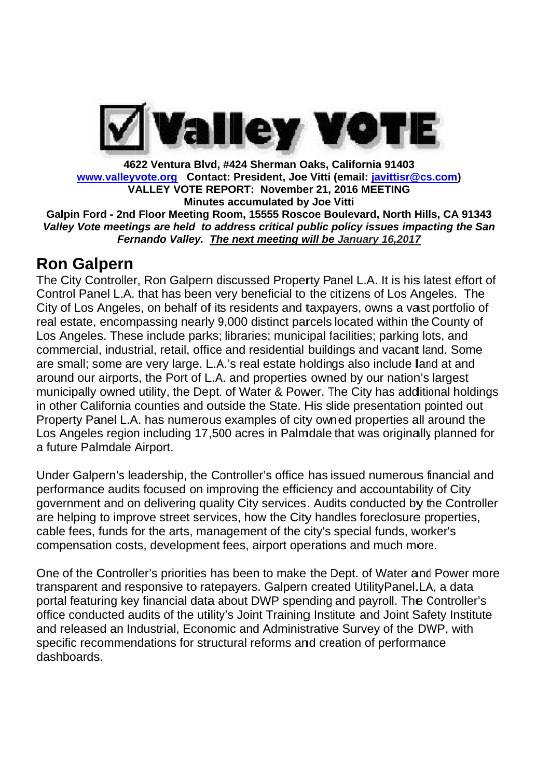

Galpin Ford - 2nd Floor Meeting Room, 15555 Roscoe Boulevard, North Hills, CA 91343 *Valley* Vote meetings are held to address critical public policy issues impacting the San *Fernando Valley. The next meeting will be January 16,2017* **VALLEY VOTE REPORT: 21, 2016** 4622 Ventura Blvd, #424 Sherman Oaks, California 91403 **Minutes accumulated by Joe Vitti** a Blvd, #424 Sherman Oaks, California 91403<br>Contact: President, Joe Vitti (email: <u>javittisr@cs.com</u>) 4622 Ventura Blvd, #424 Sherman<br>
www.valleyvote.org Contact: President, J<br>
VALLEY VOTE REPORT: Novem<br>
Minutes accumulated<br>
Galpin Ford - 2nd Floor Meeting Room, 15555 Ro<br>
Valley Vote meetings are held to address critical<br>

# **Ron Galpern**

The City Controller, Ron Galpern discussed Property Panel L.A. It is his latest effort of Control Panel L.A. that has been very beneficial to the cit City of Los Angeles, on behalf of its residents and taxpayers, owns a vast portfolio of real estate, encompassing nearly 9,000 distinct parcels located within the County of Los Angeles. These include parks; libraries; municipal facilities; parking lots, and commercial, industrial, retail, office and residential buildings and vacant land. Some are small; some are very large. L.A.'s real estate holdings also include lland at and around our airports, the Port of L.A. and properties owned municipally owned utility, the Dept. of Water & Power. The City has additional holdings in other California counties and outside the State. His slide presentation pointed out in other California counties and outside the State. His slide presentation pointed out<br>Property Panel L.A. has numerous examples of city owned properties all around the municipally owned utility, the Dept. of Water & Power. The City has additional holdings<br>in other California counties and outside the State. His slide presentation pointed out<br>Property Panel L.A. has numerous examples of ci a future Palmdale Airport. Los Angeles region including 17,500 acres in Palmdale that was originally planned for<br>a future Palmdale Airport.<br>Under Galpern's leadership, the Controller's office has issued numerous financial and The City Controller, Ron Galpern discussed Property Panel L.A. It is his latest effort of<br>Control Panel L.A. that has been very beneficial to the citizens of Los Angeles. The<br>City of Los Angeles, on behalf of its residents www.valleyvote.org Contact: President, Joe Vitti (email: <u>javittisr@cs.com</u>)<br>
VALLEY VOTE REPORT: November 21, 2016 MEETING<br>
Galpin Ford - 2nd Floor Meeting Room, 15555 Roscoe Boulevard, North Hills, CA 91<br>
Valley Vote mee - 2nd Floor Meeting Room, 15555 Roscoe Boulevard, North Hills, CA 91343<br>meetings are held to address critical public policy issues impacting the San<br>Fernando Valley. The next meeting will be January 16,2017<br>**CFN**<br>troller, City of Los Angeles, on behalf of its residents and taxpayers, owns a vast portfolio c<br>real estate, encompassing nearly 9,000 distinct parcels located within the County of<br>Los Angeles. These include parks; libraries; munic **Calify Fort - 2nd Floor Meeting Room, 15555 Rescoe Boulevard, North Hills, the Unit Substituted audits of the utility of the utility of Unit Substituted Control Panel L.A. that has been very beneficial to the citizens of** 4622 Ventura Blvd, 4424 Sherman Oaks, California 191403<br>
Www.valleyvote.org Contact: President, Joe Vitti (email: <u>iavittisr@cs.com</u>)<br>
VALLEY VOTE REPORT: November 21, 2016 METING<br>
Galpin Ford - 2nd Floor Meeting Room, 155 very large. L.A.'s real estate holdings also include land at and<br>the Port of L.A. and properties owned by our nation's largest<br>tility, the Dept. of Water & Power. The City has additional holding<br>punties and outside the Sta ntura Blvd, #424 Sherman Oaks, California 91<br>
org Contact: President, Joe Vitti (email: lagitt! incoments and the position<br>
Minutes accumulated by Joe Vitti<br>
Minutes accumulated by Joe Vitti<br>
Minutes accumulated by Joe Vit esidential buildings and vacant land. Son<br>al estate holdings also include land at and<br>properties owned by our nation's largest<br>ater & Power. The City has additional hold<br>he State. His slide presentation pointed c<br>ples of c Floor Meeting Room,<br>
is are held to addres<br>
ando Valley. The ne.<br>
Ron Galpern discus<br>
hat has been very b<br>
on behalf of its res<br>
assing nearly 9,000<br>
include parks; libra<br>
al, retail, office and<br>
very large. L.A.'s re<br>
the The City Controller, Ron Galpern discussed Property Panel L.A. It is his latest effort of<br>Control Panel L.A. that has been very beneficial to the citizens of Los Angeles. The<br>City of Los Angeles, on behalf of its residents commercial, industrial, retail, office and residential buildings and vacant land. Some<br>are small; some are very large. L.A.'s real estate holdings also include land at and<br>around our airports, the Port of L.A. and properti **#424 Sherman Oaks, Cali**<br> **:: President, Joe Vitti (em**<br> **PORT: November 21, 201**<br> **accumulated by Joe Vitti (em**<br> **accumulated by Joe Vitti (em**<br> *e next meeting will be Jali***<br>
<b>***e next meeting will be Jali*<br> *e next* Y VOTE REPORT: November<br>
Minutes accumulated by<br>
Theeting Room, 15555 Rosco<br> *e held to address critical pullay.* The next meeting with<br>
1 Galpern discussed Propertial to t<br>
behalf of its residents and take the behalf of i alleyvote.org Contact: President, Joe<br>VALLEY VOTE REPORT: Novembe<br>2nd Floor Meintigs accumulated by<br>2nd Floor Metring Room, 15555 Rosc<br>eetings are held to address critical pu<br>Fernando Valley. <u>The next meeting w</u><br>2nd Ferna erman Oaks, California 91403<br>Movember 21, 2016 MEETING<br>Movember 21, 2016 MEETING<br>Movember 21, 2016 MEETING<br>Unated by Joe Vitti<br>S555 Roscoe Boulevard, North Hills, CA 91343<br>S555 Roscoe Boulevard, North Hills, CA 91343<br>meeti www.valleyvote.org Contact: President, Joe Vitti<br>
VALLEY vOTE REPORT: Nowmber 21,<br>
Galpin Ford - 2nd Floor Meeting Room, 15555 Roscoe B<br>
Valley Vote meetings are held to address critical public<br>
Fernando Valley. The next m Panel L.A. that has been very beneficial to the citizens of Los Angeles. The<br>Los Angeles, on behalf of its residents and taxpayers, owns a vast portfolio of real estate, encompassing nearly 9,000 distinct parcels located within the County of<br>Los Angeles. These include parks; libraries; municipal facilities; parking lots, and<br>commercial, industrial, retail, office and residenti Angeles, on behalf of its residents and taxpayers, owns a vast portfolio of<br>encompassing nearly 9,000 distinct parcels located within the County of<br>s. These include parks; libraries; municipal facilities; parking lots, and 24 Sherman Oaks, California 91403<br>President, Joe Vitti (email: <u>iavittisr@cs.com</u>)<br>President, Joe Vitti (email: <u>iavittisr@cs.com</u>)<br>m, 15555 Roscoe Boulevard, North Hills, CA 91343<br>ress critical public policy issues impact by our nation's largest<br>Fr. The City has additional holdings<br>is slide presentation pointed out<br>owned properties all around the 2016 MEETING<br>Vitti<br>oulevard, North<br>policy issues in<br>external policy issues in<br>anel L.A. It is histitizens of Los<br>ayers, owns a v<br>located within<br>acilities; parkin<br>ings and vacar<br>gs also include<br>ed by our natic<br>he City has a sing nearly 9,000 distinct parcels locate<br>clude parks; libraries; municipal facilities<br>retail, office and residential buildings and<br>ry large. L.A.'s real estate holdings alse<br>Port of L.A. and properties owned by<br>y, the Dep 91403<br>
vittisr@cs.com)<br>
FTING<br>
North Hills, CA 91343<br>
ues impacting the San<br>
16,2017<br>
It is his latest effort of<br>
It is his latest effort of<br>
It is his latest effort of<br>
It is his latest effort of<br>
It is a vast portfolio o Valley Vote meetings are held to address critical public policy issues impacting<br> **Ron Galpern**<br> **Ron Galpern**<br> **Ron Galpern**<br> **Ron Galpern**<br> **The City Controller, Ron Galpern discussed Property Panel L.A. It is his latest** North Hills, CA 91343<br>
ues impacting the San<br>
16,2017<br>
It is his latest effort of<br>
Los Angeles. The<br>
ns a vast portfolio of<br>
vithin the County of<br>
varking lots, and<br>
vacant land. Some<br>
clude land at and<br>
nation's largest<br> The City Controller, Ron Galpern discussed Property Panel L.A. It is his latest effort of Control Panel L.A. It hat has been very beneficial to the ditizens of Los Angeles. The Cuity of City of Los Angeles, on behalf of it commercial, industrial, retail, office and residential buildings and vacant land. Some<br>are small; some are very large. L.A.'s real estate holdings also include land at and<br>around our airports, the Port of L.A. and properti Galpin Ford - 2nd Floor Meeting Room, 15555 Roscoe Boulevard, North Hills, CA and For Controller, pointing the Chiptopler of the Defined to address critical public policy issues impacting the menting of the city Controller and taxpayers, owns a vast portfolio of<br>tt parcels located within the County of<br>unicipal facilities; parking lots, and<br>ntial buildings and vacant land. Some<br>ate holdings also include land at and<br>rrties owned by our nation'

performance audits focused on improving the efficiency and accountability of City government and on delivering quality City services. Audits conducted by the Controller are helping to improve street services, how the City handles foreclosure properties, cable fees, funds for the arts, management of the city's special funds, worker's compensation costs, development fees, airport operations and much more. ther California counties and outside the State. His slide presentation pointe<br>perty Panel L.A. has numerous examples of city owned properties all arour<br>Angeles region including 17,500 acres in Palmdale that was originally performance audits focused on improving the efficiency and accountability of City<br>government and on delivering quality City services. Audits conducted by the Controller<br>are helping to improve street services, how the City Panel L.A. has numerous examples of city owned properties all around the<br>les region including 17,500 acres in Palmdale that was originally planned f<br>Palmdale Airport.<br>alpern's leadership, the Controller's office has issued Property Panel L.A. has numerous examples of city owned properties all around the<br>Los Angeles region including 17,500 acres in Palmdale that was originally planned for<br>a future Palmdale Airport.<br>Under Galpern's leadership, Los Angeles region including 17,500 acres in Palmdale that was originally planned for<br>a future Palmdale Airport.<br>Under Galpern's leadership, the Controller's office has issued numerous financial and<br>performance audits focu performance audits focused on improving the efficiency and accountability of City<br>government and on delivering quality City services. Audits conducted by the Controller<br>are helping to improve street services, how the City

One of the Controller's priorities has been to make the Dept. of Water and Power more transparent and responsive to rate portal featuring key financial data about DWP spending and payroll. The Controller's office conducted audits of the utility's Joint Training Institute Institute and released an Industrial, Economic and Administrative Survey of the DWP, with specific recommendations for structural reforms and creation of performance dashboards. cable fees, funds for the arts, management of the city's special funds, worker's<br>compensation costs, development fees, airport operations and much more.<br>One of the Controller's priorities has been to make the Dept. of Wate financial data about DWP spending and payroll. The Controlle<br>dits of the utility's Joint Training Institute and Joint Safety Instit<br>ustrial, Economic and Administrative Survey of the DWP, with and Joint Safety Institute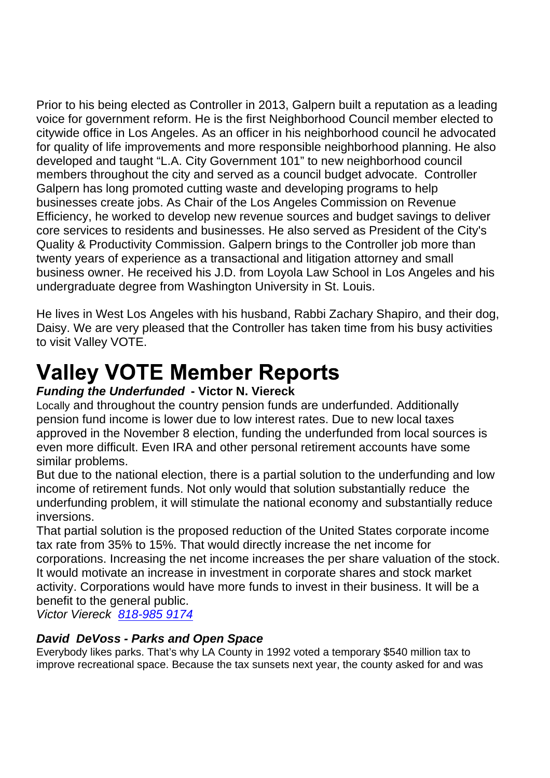Prior to his being elected as Controller in 2013, Galpern built a reputation as a leading voice for government reform. He is the first Neighborhood Council member elected to citywide office in Los Angeles. As an officer in his neighborhood council he advocated for quality of life improvements and more responsible neighborhood planning. He also developed and taught "L.A. City Government 101" to new neighborhood council members throughout the city and served as a council budget advocate. Controller Galpern has long promoted cutting waste and developing programs to help businesses create jobs. As Chair of the Los Angeles Commission on Revenue Efficiency, he worked to develop new revenue sources and budget savings to deliver core services to residents and businesses. He also served as President of the City's Quality & Productivity Commission. Galpern brings to the Controller job more than twenty years of experience as a transactional and litigation attorney and small business owner. He received his J.D. from Loyola Law School in Los Angeles and his undergraduate degree from Washington University in St. Louis.

He lives in West Los Angeles with his husband, Rabbi Zachary Shapiro, and their dog, Daisy. We are very pleased that the Controller has taken time from his busy activities to visit Valley VOTE.

# **Valley VOTE Member Reports**

#### *Funding the Underfunded* **- Victor N. Viereck**

Locally and throughout the country pension funds are underfunded. Additionally pension fund income is lower due to low interest rates. Due to new local taxes approved in the November 8 election, funding the underfunded from local sources is even more difficult. Even IRA and other personal retirement accounts have some similar problems.

But due to the national election, there is a partial solution to the underfunding and low income of retirement funds. Not only would that solution substantially reduce the underfunding problem, it will stimulate the national economy and substantially reduce inversions.

That partial solution is the proposed reduction of the United States corporate income tax rate from 35% to 15%. That would directly increase the net income for corporations. Increasing the net income increases the per share valuation of the stock. It would motivate an increase in investment in corporate shares and stock market activity. Corporations would have more funds to invest in their business. It will be a benefit to the general public.

*Victor Viereck 818-985 9174*

## *David DeVoss - Parks and Open Space*

Everybody likes parks. That's why LA County in 1992 voted a temporary \$540 million tax to improve recreational space. Because the tax sunsets next year, the county asked for and was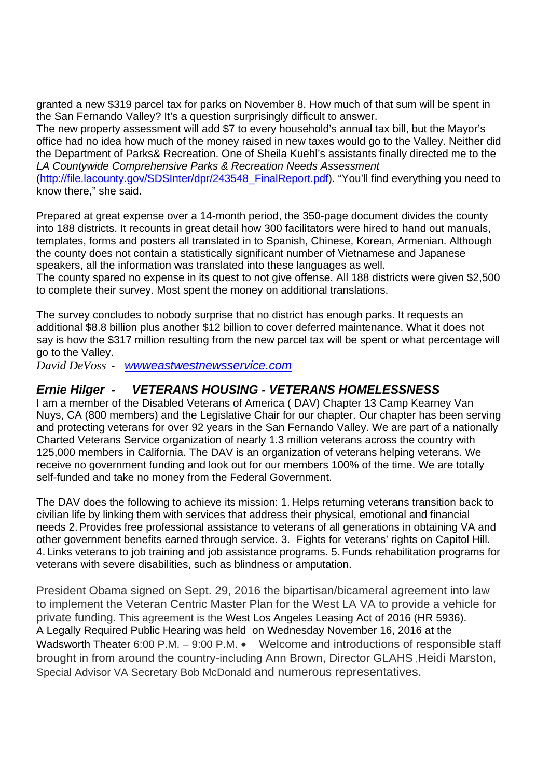granted a new \$319 parcel tax for parks on November 8. How much of that sum will be spent in the San Fernando Valley? It's a question surprisingly difficult to answer.

The new property assessment will add \$7 to every household's annual tax bill, but the Mayor's office had no idea how much of the money raised in new taxes would go to the Valley. Neither did the Department of Parks& Recreation. One of Sheila Kuehl's assistants finally directed me to the *LA Countywide Comprehensive Parks & Recreation Needs Assessment*

(http://file.lacounty.gov/SDSInter/dpr/243548\_FinalReport.pdf). "You'll find everything you need to know there," she said.

Prepared at great expense over a 14-month period, the 350-page document divides the county into 188 districts. It recounts in great detail how 300 facilitators were hired to hand out manuals, templates, forms and posters all translated in to Spanish, Chinese, Korean, Armenian. Although the county does not contain a statistically significant number of Vietnamese and Japanese speakers, all the information was translated into these languages as well.

The county spared no expense in its quest to not give offense. All 188 districts were given \$2,500 to complete their survey. Most spent the money on additional translations.

The survey concludes to nobody surprise that no district has enough parks. It requests an additional \$8.8 billion plus another \$12 billion to cover deferred maintenance. What it does not say is how the \$317 million resulting from the new parcel tax will be spent or what percentage will go to the Valley.

*David DeVoss - wwweastwestnewsservice.com*

#### *Ernie Hilger - VETERANS HOUSING - VETERANS HOMELESSNESS*

I am a member of the Disabled Veterans of America ( DAV) Chapter 13 Camp Kearney Van Nuys, CA (800 members) and the Legislative Chair for our chapter. Our chapter has been serving and protecting veterans for over 92 years in the San Fernando Valley. We are part of a nationally Charted Veterans Service organization of nearly 1.3 million veterans across the country with 125,000 members in California. The DAV is an organization of veterans helping veterans. We receive no government funding and look out for our members 100% of the time. We are totally self-funded and take no money from the Federal Government.

The DAV does the following to achieve its mission: 1. Helps returning veterans transition back to civilian life by linking them with services that address their physical, emotional and financial needs 2.Provides free professional assistance to veterans of all generations in obtaining VA and other government benefits earned through service. 3. Fights for veterans' rights on Capitol Hill. 4. Links veterans to job training and job assistance programs. 5. Funds rehabilitation programs for veterans with severe disabilities, such as blindness or amputation.

President Obama signed on Sept. 29, 2016 the bipartisan/bicameral agreement into law to implement the Veteran Centric Master Plan for the West LA VA to provide a vehicle for private funding. This agreement is the West Los Angeles Leasing Act of 2016 (HR 5936). A Legally Required Public Hearing was held on Wednesday November 16, 2016 at the Wadsworth Theater 6:00 P.M. – 9:00 P.M. • Welcome and introductions of responsible staff brought in from around the country-including Ann Brown, Director GLAHS ,Heidi Marston, Special Advisor VA Secretary Bob McDonald and numerous representatives.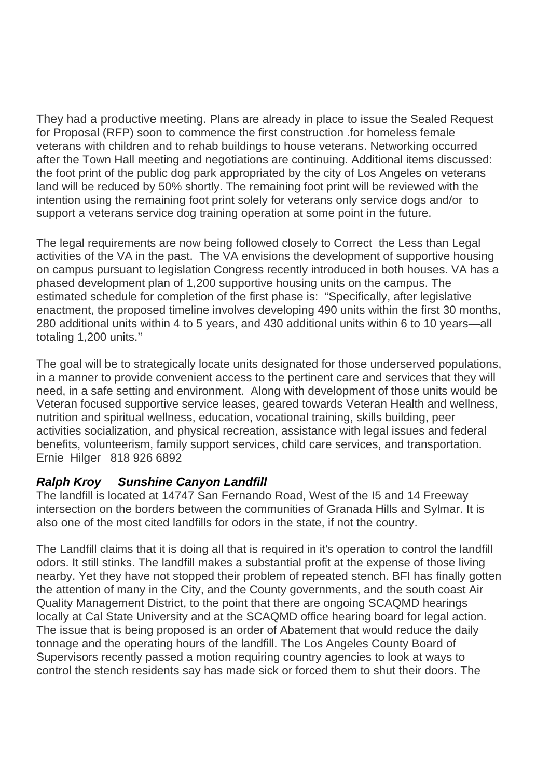They had a productive meeting. Plans are already in place to issue the Sealed Request for Proposal (RFP) soon to commence the first construction .for homeless female veterans with children and to rehab buildings to house veterans. Networking occurred after the Town Hall meeting and negotiations are continuing. Additional items discussed: the foot print of the public dog park appropriated by the city of Los Angeles on veterans land will be reduced by 50% shortly. The remaining foot print will be reviewed with the intention using the remaining foot print solely for veterans only service dogs and/or to support a Veterans service dog training operation at some point in the future.

The legal requirements are now being followed closely to Correct the Less than Legal activities of the VA in the past. The VA envisions the development of supportive housing on campus pursuant to legislation Congress recently introduced in both houses. VA has a phased development plan of 1,200 supportive housing units on the campus. The estimated schedule for completion of the first phase is: "Specifically, after legislative enactment, the proposed timeline involves developing 490 units within the first 30 months, 280 additional units within 4 to 5 years, and 430 additional units within 6 to 10 years—all totaling 1,200 units.''

The goal will be to strategically locate units designated for those underserved populations, in a manner to provide convenient access to the pertinent care and services that they will need, in a safe setting and environment. Along with development of those units would be Veteran focused supportive service leases, geared towards Veteran Health and wellness, nutrition and spiritual wellness, education, vocational training, skills building, peer activities socialization, and physical recreation, assistance with legal issues and federal benefits, volunteerism, family support services, child care services, and transportation. Ernie Hilger 818 926 6892

## *Ralph Kroy Sunshine Canyon Landfill*

The landfill is located at 14747 San Fernando Road, West of the I5 and 14 Freeway intersection on the borders between the communities of Granada Hills and Sylmar. It is also one of the most cited landfills for odors in the state, if not the country.

The Landfill claims that it is doing all that is required in it's operation to control the landfill odors. It still stinks. The landfill makes a substantial profit at the expense of those living nearby. Yet they have not stopped their problem of repeated stench. BFI has finally gotten the attention of many in the City, and the County governments, and the south coast Air Quality Management District, to the point that there are ongoing SCAQMD hearings locally at Cal State University and at the SCAQMD office hearing board for legal action. The issue that is being proposed is an order of Abatement that would reduce the daily tonnage and the operating hours of the landfill. The Los Angeles County Board of Supervisors recently passed a motion requiring country agencies to look at ways to control the stench residents say has made sick or forced them to shut their doors. The